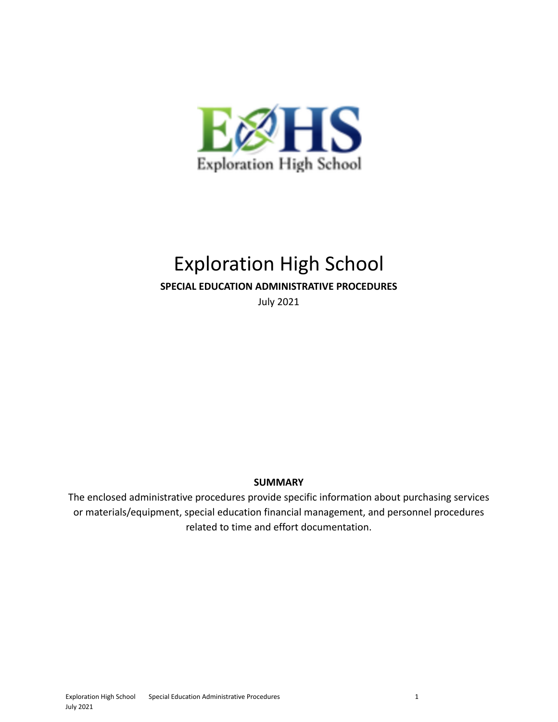

# Exploration High School

#### **SPECIAL EDUCATION ADMINISTRATIVE PROCEDURES**

July 2021

#### **SUMMARY**

The enclosed administrative procedures provide specific information about purchasing services or materials/equipment, special education financial management, and personnel procedures related to time and effort documentation.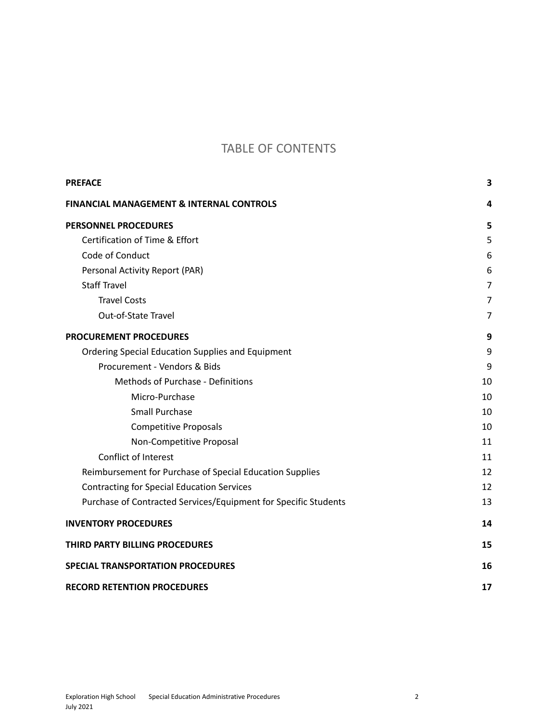### TABLE OF CONTENTS

| <b>PREFACE</b>                                                  | 3              |
|-----------------------------------------------------------------|----------------|
| <b>FINANCIAL MANAGEMENT &amp; INTERNAL CONTROLS</b>             | 4              |
| <b>PERSONNEL PROCEDURES</b>                                     | 5              |
| Certification of Time & Effort                                  | 5              |
| Code of Conduct                                                 | 6              |
| Personal Activity Report (PAR)                                  | 6              |
| <b>Staff Travel</b>                                             | $\overline{7}$ |
| <b>Travel Costs</b>                                             | 7              |
| Out-of-State Travel                                             | 7              |
| <b>PROCUREMENT PROCEDURES</b>                                   | 9              |
| Ordering Special Education Supplies and Equipment               | 9              |
| Procurement - Vendors & Bids                                    | 9              |
| Methods of Purchase - Definitions                               | 10             |
| Micro-Purchase                                                  | 10             |
| <b>Small Purchase</b>                                           | 10             |
| <b>Competitive Proposals</b>                                    | 10             |
| Non-Competitive Proposal                                        | 11             |
| Conflict of Interest                                            | 11             |
| Reimbursement for Purchase of Special Education Supplies        | 12             |
| <b>Contracting for Special Education Services</b>               | 12             |
| Purchase of Contracted Services/Equipment for Specific Students | 13             |
| <b>INVENTORY PROCEDURES</b>                                     | 14             |
| THIRD PARTY BILLING PROCEDURES                                  | 15             |
| <b>SPECIAL TRANSPORTATION PROCEDURES</b>                        | 16             |
| <b>RECORD RETENTION PROCEDURES</b>                              | 17             |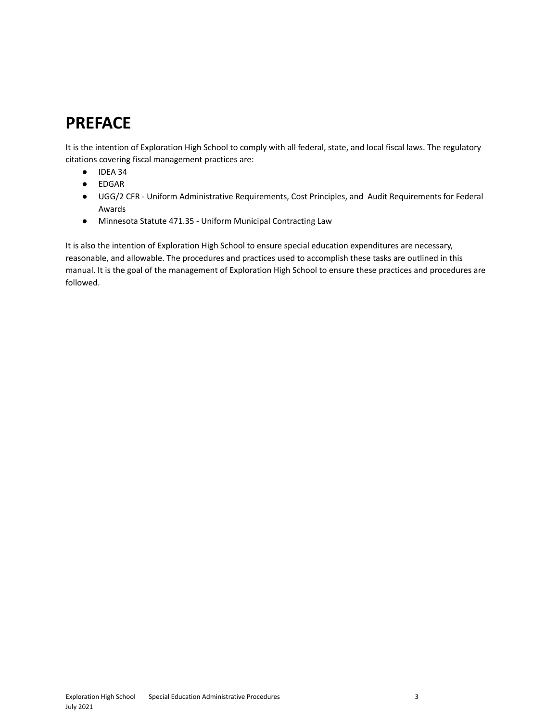## <span id="page-2-0"></span>**PREFACE**

It is the intention of Exploration High School to comply with all federal, state, and local fiscal laws. The regulatory citations covering fiscal management practices are:

- IDEA 34
- EDGAR
- UGG/2 CFR Uniform Administrative Requirements, Cost Principles, and Audit Requirements for Federal Awards
- Minnesota Statute 471.35 Uniform Municipal Contracting Law

It is also the intention of Exploration High School to ensure special education expenditures are necessary, reasonable, and allowable. The procedures and practices used to accomplish these tasks are outlined in this manual. It is the goal of the management of Exploration High School to ensure these practices and procedures are followed.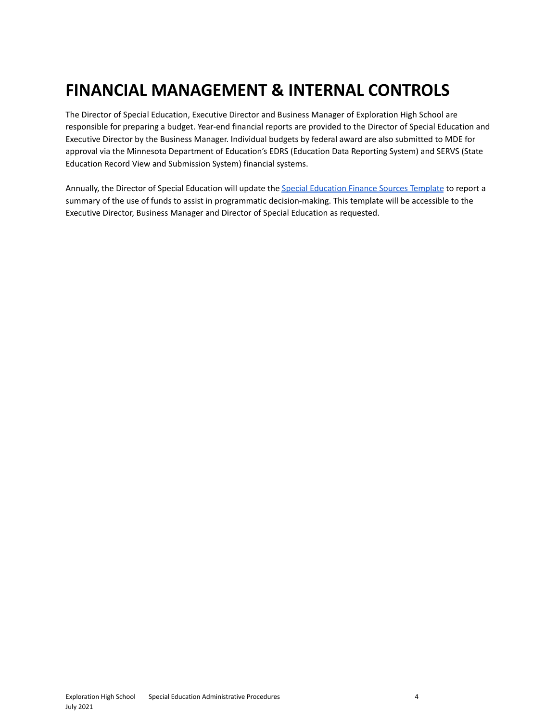## <span id="page-3-0"></span>**FINANCIAL MANAGEMENT & INTERNAL CONTROLS**

The Director of Special Education, Executive Director and Business Manager of Exploration High School are responsible for preparing a budget. Year-end financial reports are provided to the Director of Special Education and Executive Director by the Business Manager. Individual budgets by federal award are also submitted to MDE for approval via the Minnesota Department of Education's EDRS (Education Data Reporting System) and SERVS (State Education Record View and Submission System) financial systems.

Annually, the Director of Special Education will update the Special [Education](https://docs.google.com/document/d/176VwdNMlSmFEZdrOsdjlxFOJGnk9KzInhUBWklxVYs0/edit?usp=sharing) Finance Sources Template to report a summary of the use of funds to assist in programmatic decision-making. This template will be accessible to the Executive Director, Business Manager and Director of Special Education as requested.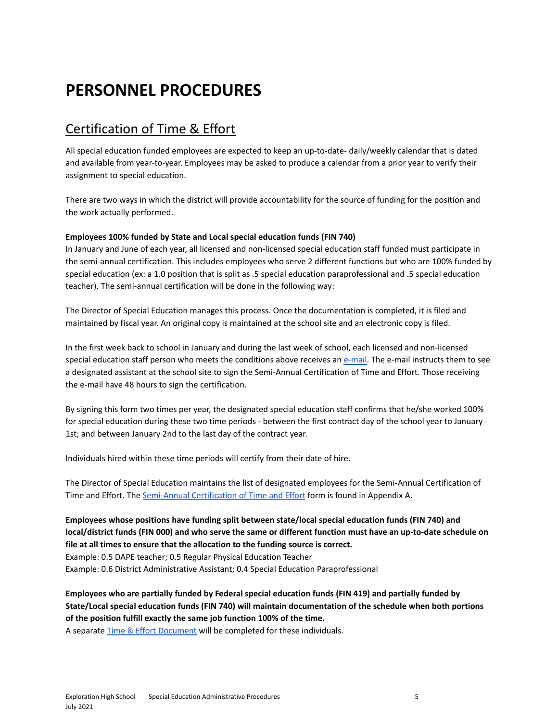## <span id="page-4-0"></span>**PERSONNEL PROCEDURES**

### <span id="page-4-1"></span>Certification of Time & Effort

All special education funded employees are expected to keep an up-to-date- daily/weekly calendar that is dated and available from year-to-year. Employees may be asked to produce a calendar from a prior year to verify their assignment to special education.

There are two ways in which the district will provide accountability for the source of funding for the position and the work actually performed.

#### **Employees 100% funded by State and Local special education funds (FIN 740)**

In January and June of each year, all licensed and non-licensed special education staff funded must participate in the semi-annual certification. This includes employees who serve 2 different functions but who are 100% funded by special education (ex: a 1.0 position that is split as .5 special education paraprofessional and .5 special education teacher). The semi-annual certification will be done in the following way:

The Director of Special Education manages this process. Once the documentation is completed, it is filed and maintained by fiscal year. An original copy is maintained at the school site and an electronic copy is filed.

In the first week back to school in January and during the last week of school, each licensed and non-licensed special education staff person who meets the conditions above receives an [e-mail.](https://docs.google.com/document/d/1L86QHFdIurV3nnXw0qxCvkZ4BLKv0lmYMYQHfL4A9lU/edit?usp=sharing) The e-mail instructs them to see a designated assistant at the school site to sign the Semi-Annual Certification of Time and Effort. Those receiving the e-mail have 48 hours to sign the certification.

By signing this form two times per year, the designated special education staff confirms that he/she worked 100% for special education during these two time periods - between the first contract day of the school year to January 1st; and between January 2nd to the last day of the contract year.

Individuals hired within these time periods will certify from their date of hire.

The Director of Special Education maintains the list of designated employees for the Semi-Annual Certification of Time and Effort. The [Semi-Annual](https://drive.google.com/drive/folders/13TlkUxLMi5NXcDkO6DC7BuhCK5QAikr-?usp=sharing) Certification of Time and Effort form is found in Appendix A.

#### **Employees whose positions have funding split between state/local special education funds (FIN 740) and** local/district funds (FIN 000) and who serve the same or different function must have an up-to-date schedule on **file at all times to ensure that the allocation to the funding source is correct.**

Example: 0.5 DAPE teacher; 0.5 Regular Physical Education Teacher

Example: 0.6 District Administrative Assistant; 0.4 Special Education Paraprofessional

**Employees who are partially funded by Federal special education funds (FIN 419) and partially funded by State/Local special education funds (FIN 740) will maintain documentation of the schedule when both portions of the position fulfill exactly the same job function 100% of the time.**

A separate Time & Effort [Document](https://drive.google.com/drive/folders/13TlkUxLMi5NXcDkO6DC7BuhCK5QAikr-?usp=sharing) will be completed for these individuals.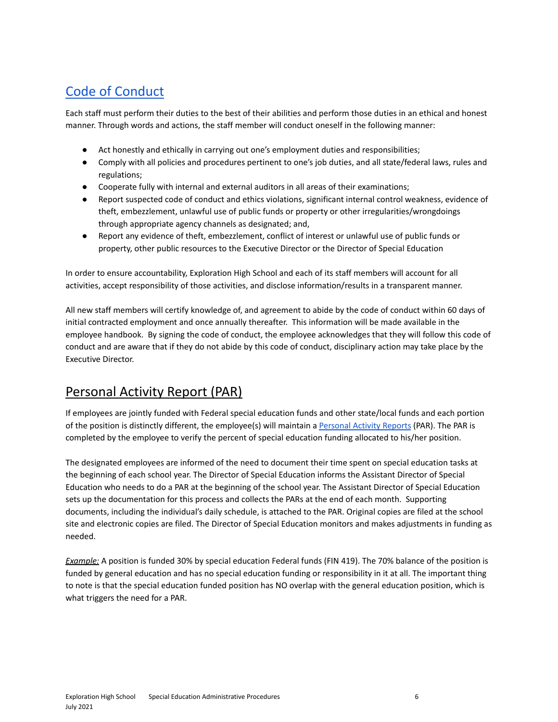## <span id="page-5-0"></span>Code of [Conduct](https://docs.google.com/document/d/1_23x0XA2gh1Z-N4BR_4cVVJJSdOo0g_a6X46iKtBP0A/edit?usp=sharing)

Each staff must perform their duties to the best of their abilities and perform those duties in an ethical and honest manner. Through words and actions, the staff member will conduct oneself in the following manner:

- Act honestly and ethically in carrying out one's employment duties and responsibilities;
- Comply with all policies and procedures pertinent to one's job duties, and all state/federal laws, rules and regulations;
- Cooperate fully with internal and external auditors in all areas of their examinations;
- Report suspected code of conduct and ethics violations, significant internal control weakness, evidence of theft, embezzlement, unlawful use of public funds or property or other irregularities/wrongdoings through appropriate agency channels as designated; and,
- Report any evidence of theft, embezzlement, conflict of interest or unlawful use of public funds or property, other public resources to the Executive Director or the Director of Special Education

In order to ensure accountability, Exploration High School and each of its staff members will account for all activities, accept responsibility of those activities, and disclose information/results in a transparent manner.

All new staff members will certify knowledge of, and agreement to abide by the code of conduct within 60 days of initial contracted employment and once annually thereafter. This information will be made available in the employee handbook. By signing the code of conduct, the employee acknowledges that they will follow this code of conduct and are aware that if they do not abide by this code of conduct, disciplinary action may take place by the Executive Director.

### <span id="page-5-1"></span>Personal Activity Report (PAR)

If employees are jointly funded with Federal special education funds and other state/local funds and each portion of the position is distinctly different, the employee(s) will maintain a [Personal](https://drive.google.com/drive/folders/1flDEBKUJSR_kjsbGE91uN71u_2zepCku?usp=sharing) Activity Reports (PAR). The PAR is completed by the employee to verify the percent of special education funding allocated to his/her position.

The designated employees are informed of the need to document their time spent on special education tasks at the beginning of each school year. The Director of Special Education informs the Assistant Director of Special Education who needs to do a PAR at the beginning of the school year. The Assistant Director of Special Education sets up the documentation for this process and collects the PARs at the end of each month. Supporting documents, including the individual's daily schedule, is attached to the PAR. Original copies are filed at the school site and electronic copies are filed. The Director of Special Education monitors and makes adjustments in funding as needed.

*Example:* A position is funded 30% by special education Federal funds (FIN 419). The 70% balance of the position is funded by general education and has no special education funding or responsibility in it at all. The important thing to note is that the special education funded position has NO overlap with the general education position, which is what triggers the need for a PAR.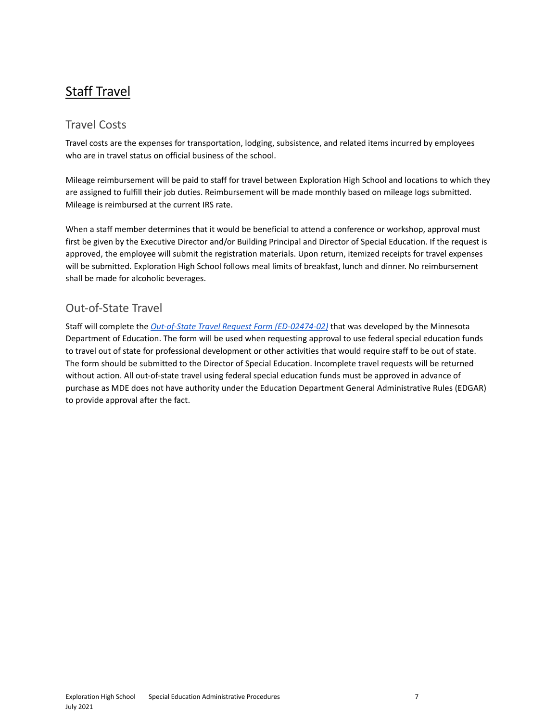### <span id="page-6-0"></span>Staff Travel

### <span id="page-6-1"></span>Travel Costs

Travel costs are the expenses for transportation, lodging, subsistence, and related items incurred by employees who are in travel status on official business of the school.

Mileage reimbursement will be paid to staff for travel between Exploration High School and locations to which they are assigned to fulfill their job duties. Reimbursement will be made monthly based on mileage logs submitted. Mileage is reimbursed at the current IRS rate.

When a staff member determines that it would be beneficial to attend a conference or workshop, approval must first be given by the Executive Director and/or Building Principal and Director of Special Education. If the request is approved, the employee will submit the registration materials. Upon return, itemized receipts for travel expenses will be submitted. Exploration High School follows meal limits of breakfast, lunch and dinner. No reimbursement shall be made for alcoholic beverages.

### <span id="page-6-2"></span>Out-of-State Travel

Staff will complete the *Out-of-State Travel Request Form [\(ED-02474-02\)](https://drive.google.com/file/d/1F1RiT9ChmKejcBJomkaP0ricBZXmaybM/view?usp=sharing)* that was developed by the Minnesota Department of Education. The form will be used when requesting approval to use federal special education funds to travel out of state for professional development or other activities that would require staff to be out of state. The form should be submitted to the Director of Special Education. Incomplete travel requests will be returned without action. All out-of-state travel using federal special education funds must be approved in advance of purchase as MDE does not have authority under the Education Department General Administrative Rules (EDGAR) to provide approval after the fact.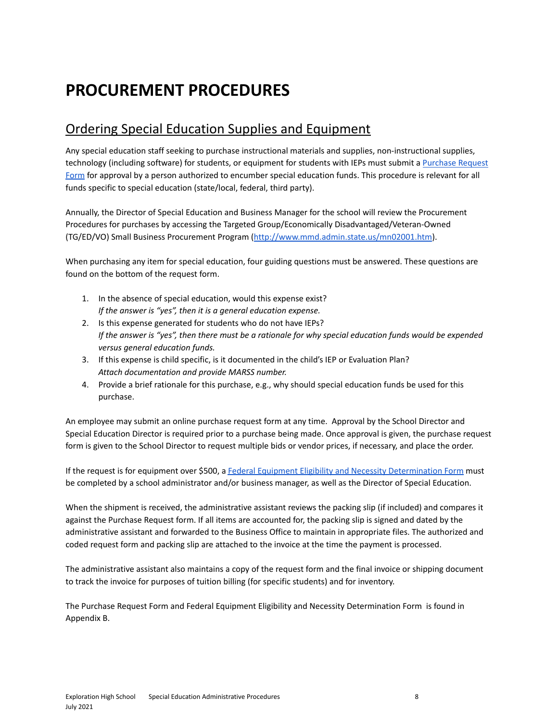## <span id="page-7-0"></span>**PROCUREMENT PROCEDURES**

### <span id="page-7-1"></span>Ordering Special Education Supplies and Equipment

Any special education staff seeking to purchase instructional materials and supplies, non-instructional supplies, technology (including software) for students, or equipment for students with IEPs must submit a [Purchase](https://docs.google.com/forms/d/13qY-e22ncqJO73UWQ_nL03EeAHszYjAljkzMDZx8guA/edit?usp=sharing) Request [Form](https://docs.google.com/forms/d/13qY-e22ncqJO73UWQ_nL03EeAHszYjAljkzMDZx8guA/edit?usp=sharing) for approval by a person authorized to encumber special education funds. This procedure is relevant for all funds specific to special education (state/local, federal, third party).

Annually, the Director of Special Education and Business Manager for the school will review the Procurement Procedures for purchases by accessing the Targeted Group/Economically Disadvantaged/Veteran-Owned (TG/ED/VO) Small Business Procurement Program ([http://www.mmd.admin.state.us/mn02001.htm](http://www.mmd.admin.state.mn.us/tgeligibility.htm)).

When purchasing any item for special education, four guiding questions must be answered. These questions are found on the bottom of the request form.

- 1. In the absence of special education, would this expense exist? *If the answer is "yes", then it is a general education expense.*
- 2. Is this expense generated for students who do not have IEPs? If the answer is "yes", then there must be a rationale for why special education funds would be expended *versus general education funds.*
- 3. If this expense is child specific, is it documented in the child's IEP or Evaluation Plan? *Attach documentation and provide MARSS number.*
- 4. Provide a brief rationale for this purchase, e.g., why should special education funds be used for this purchase.

An employee may submit an online purchase request form at any time. Approval by the School Director and Special Education Director is required prior to a purchase being made. Once approval is given, the purchase request form is given to the School Director to request multiple bids or vendor prices, if necessary, and place the order.

If the request is for equipment over \$500, a Federal Equipment Eligibility and Necessity [Determination](https://docs.google.com/document/d/1e8EO0vWuXUMjZsUR_vKC66sIHU07uegU0CeG9VTw4Ns/edit?usp=sharing) Form must be completed by a school administrator and/or business manager, as well as the Director of Special Education.

When the shipment is received, the administrative assistant reviews the packing slip (if included) and compares it against the Purchase Request form. If all items are accounted for, the packing slip is signed and dated by the administrative assistant and forwarded to the Business Office to maintain in appropriate files. The authorized and coded request form and packing slip are attached to the invoice at the time the payment is processed.

The administrative assistant also maintains a copy of the request form and the final invoice or shipping document to track the invoice for purposes of tuition billing (for specific students) and for inventory.

The Purchase Request Form and Federal Equipment Eligibility and Necessity Determination Form is found in Appendix B.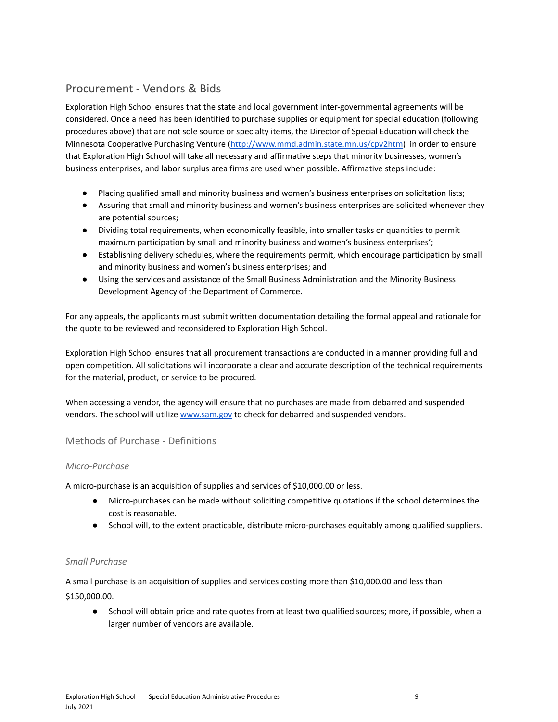#### <span id="page-8-0"></span>Procurement - Vendors & Bids

Exploration High School ensures that the state and local government inter-governmental agreements will be considered. Once a need has been identified to purchase supplies or equipment for special education (following procedures above) that are not sole source or specialty items, the Director of Special Education will check the Minnesota Cooperative Purchasing Venture [\(http://www.mmd.admin.state.mn.us/cpv2htm](http://www.mmd.admin.state.mn.us/cpv2.htm)) in order to ensure that Exploration High School will take all necessary and affirmative steps that minority businesses, women's business enterprises, and labor surplus area firms are used when possible. Affirmative steps include:

- Placing qualified small and minority business and women's business enterprises on solicitation lists;
- Assuring that small and minority business and women's business enterprises are solicited whenever they are potential sources;
- Dividing total requirements, when economically feasible, into smaller tasks or quantities to permit maximum participation by small and minority business and women's business enterprises';
- Establishing delivery schedules, where the requirements permit, which encourage participation by small and minority business and women's business enterprises; and
- Using the services and assistance of the Small Business Administration and the Minority Business Development Agency of the Department of Commerce.

For any appeals, the applicants must submit written documentation detailing the formal appeal and rationale for the quote to be reviewed and reconsidered to Exploration High School.

Exploration High School ensures that all procurement transactions are conducted in a manner providing full and open competition. All solicitations will incorporate a clear and accurate description of the technical requirements for the material, product, or service to be procured.

When accessing a vendor, the agency will ensure that no purchases are made from debarred and suspended vendors. The school will utilize [www.sam.gov](http://www.sam.gov) to check for debarred and suspended vendors.

#### <span id="page-8-1"></span>Methods of Purchase - Definitions

#### *Micro-Purchase*

A micro-purchase is an acquisition of supplies and services of \$10,000.00 or less.

- Micro-purchases can be made without soliciting competitive quotations if the school determines the cost is reasonable.
- School will, to the extent practicable, distribute micro-purchases equitably among qualified suppliers.

#### *Small Purchase*

A small purchase is an acquisition of supplies and services costing more than \$10,000.00 and less than \$150,000.00.

● School will obtain price and rate quotes from at least two qualified sources; more, if possible, when a larger number of vendors are available.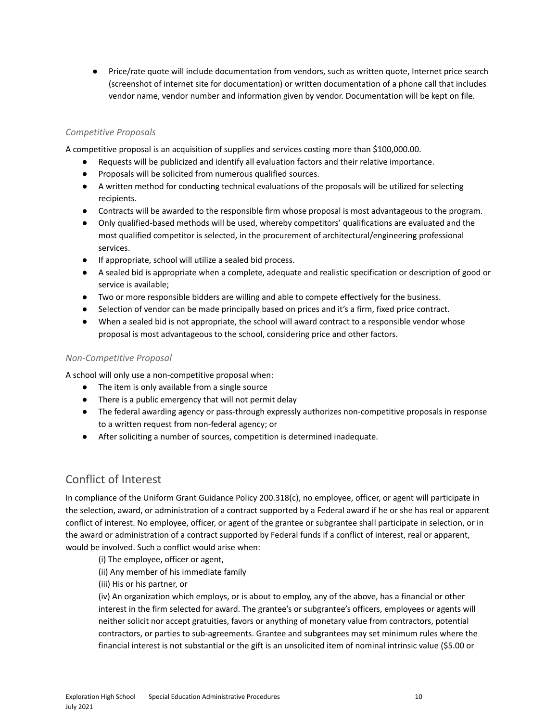● Price/rate quote will include documentation from vendors, such as written quote, Internet price search (screenshot of internet site for documentation) or written documentation of a phone call that includes vendor name, vendor number and information given by vendor. Documentation will be kept on file.

#### <span id="page-9-0"></span>*Competitive Proposals*

A competitive proposal is an acquisition of supplies and services costing more than \$100,000.00.

- Requests will be publicized and identify all evaluation factors and their relative importance.
- Proposals will be solicited from numerous qualified sources.
- A written method for conducting technical evaluations of the proposals will be utilized for selecting recipients.
- Contracts will be awarded to the responsible firm whose proposal is most advantageous to the program.
- Only qualified-based methods will be used, whereby competitors' qualifications are evaluated and the most qualified competitor is selected, in the procurement of architectural/engineering professional services.
- If appropriate, school will utilize a sealed bid process.
- A sealed bid is appropriate when a complete, adequate and realistic specification or description of good or service is available;
- Two or more responsible bidders are willing and able to compete effectively for the business.
- Selection of vendor can be made principally based on prices and it's a firm, fixed price contract.
- When a sealed bid is not appropriate, the school will award contract to a responsible vendor whose proposal is most advantageous to the school, considering price and other factors.

#### <span id="page-9-1"></span>*Non-Competitive Proposal*

A school will only use a non-competitive proposal when:

- The item is only available from a single source
- There is a public emergency that will not permit delay
- The federal awarding agency or pass-through expressly authorizes non-competitive proposals in response to a written request from non-federal agency; or
- After soliciting a number of sources, competition is determined inadequate.

#### <span id="page-9-2"></span>Conflict of Interest

In compliance of the Uniform Grant Guidance Policy 200.318(c), no employee, officer, or agent will participate in the selection, award, or administration of a contract supported by a Federal award if he or she has real or apparent conflict of interest. No employee, officer, or agent of the grantee or subgrantee shall participate in selection, or in the award or administration of a contract supported by Federal funds if a conflict of interest, real or apparent, would be involved. Such a conflict would arise when:

(i) The employee, officer or agent,

(ii) Any member of his immediate family

(iii) His or his partner, or

(iv) An organization which employs, or is about to employ, any of the above, has a financial or other interest in the firm selected for award. The grantee's or subgrantee's officers, employees or agents will neither solicit nor accept gratuities, favors or anything of monetary value from contractors, potential contractors, or parties to sub-agreements. Grantee and subgrantees may set minimum rules where the financial interest is not substantial or the gift is an unsolicited item of nominal intrinsic value (\$5.00 or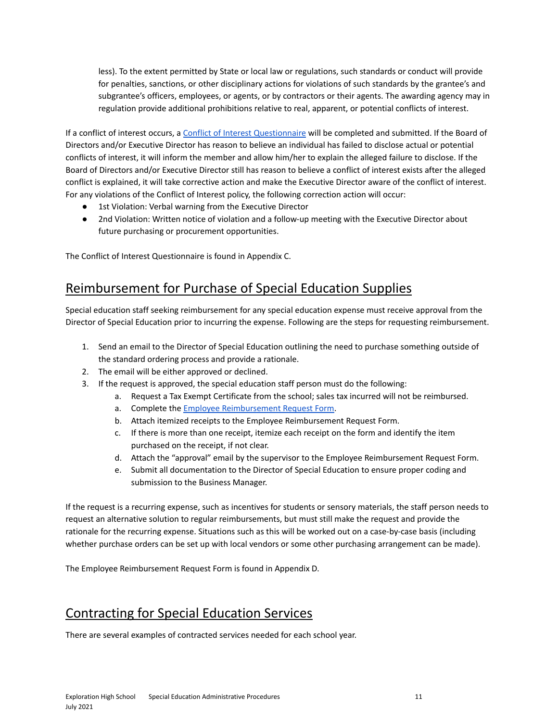less). To the extent permitted by State or local law or regulations, such standards or conduct will provide for penalties, sanctions, or other disciplinary actions for violations of such standards by the grantee's and subgrantee's officers, employees, or agents, or by contractors or their agents. The awarding agency may in regulation provide additional prohibitions relative to real, apparent, or potential conflicts of interest.

If a conflict of interest occurs, a Conflict of Interest [Questionnaire](https://docs.google.com/document/d/1YhNRZQpTxrld8Fz240a3ga1SqSPBHVw4dktfmMj6oZw/edit?usp=sharing) will be completed and submitted. If the Board of Directors and/or Executive Director has reason to believe an individual has failed to disclose actual or potential conflicts of interest, it will inform the member and allow him/her to explain the alleged failure to disclose. If the Board of Directors and/or Executive Director still has reason to believe a conflict of interest exists after the alleged conflict is explained, it will take corrective action and make the Executive Director aware of the conflict of interest. For any violations of the Conflict of Interest policy, the following correction action will occur:

- 1st Violation: Verbal warning from the Executive Director
- 2nd Violation: Written notice of violation and a follow-up meeting with the Executive Director about future purchasing or procurement opportunities.

<span id="page-10-0"></span>The Conflict of Interest Questionnaire is found in Appendix C.

### Reimbursement for Purchase of Special Education Supplies

Special education staff seeking reimbursement for any special education expense must receive approval from the Director of Special Education prior to incurring the expense. Following are the steps for requesting reimbursement.

- 1. Send an email to the Director of Special Education outlining the need to purchase something outside of the standard ordering process and provide a rationale.
- 2. The email will be either approved or declined.
- 3. If the request is approved, the special education staff person must do the following:
	- a. Request a Tax Exempt Certificate from the school; sales tax incurred will not be reimbursed.
	- a. Complete the Employee [Reimbursement](https://docs.google.com/document/d/1PwLBV_I1CCDVpCGA8PjICHSy1TZwop2n7EHP0Rm9ucU/edit?usp=sharing) Request Form.
	- b. Attach itemized receipts to the Employee Reimbursement Request Form.
	- c. If there is more than one receipt, itemize each receipt on the form and identify the item purchased on the receipt, if not clear.
	- d. Attach the "approval" email by the supervisor to the Employee Reimbursement Request Form.
	- e. Submit all documentation to the Director of Special Education to ensure proper coding and submission to the Business Manager.

If the request is a recurring expense, such as incentives for students or sensory materials, the staff person needs to request an alternative solution to regular reimbursements, but must still make the request and provide the rationale for the recurring expense. Situations such as this will be worked out on a case-by-case basis (including whether purchase orders can be set up with local vendors or some other purchasing arrangement can be made).

The Employee Reimbursement Request Form is found in Appendix D.

## <span id="page-10-1"></span>Contracting for Special Education Services

There are several examples of contracted services needed for each school year.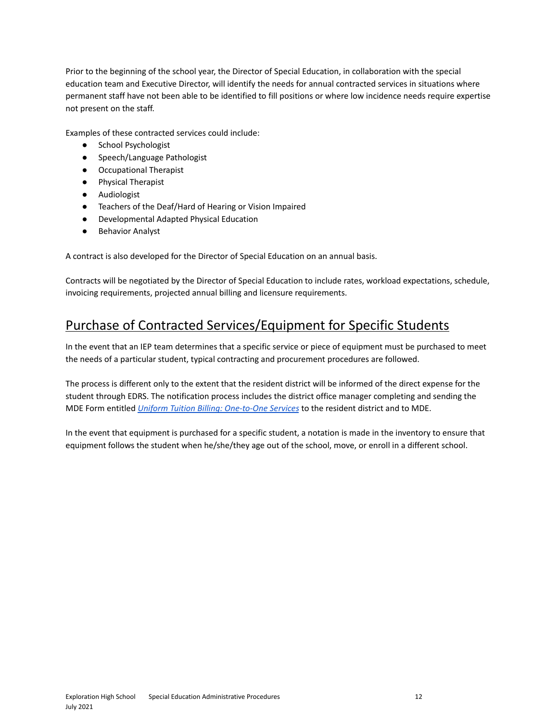Prior to the beginning of the school year, the Director of Special Education, in collaboration with the special education team and Executive Director, will identify the needs for annual contracted services in situations where permanent staff have not been able to be identified to fill positions or where low incidence needs require expertise not present on the staff.

Examples of these contracted services could include:

- School Psychologist
- Speech/Language Pathologist
- Occupational Therapist
- Physical Therapist
- Audiologist
- Teachers of the Deaf/Hard of Hearing or Vision Impaired
- Developmental Adapted Physical Education
- Behavior Analyst

A contract is also developed for the Director of Special Education on an annual basis.

Contracts will be negotiated by the Director of Special Education to include rates, workload expectations, schedule, invoicing requirements, projected annual billing and licensure requirements.

## <span id="page-11-0"></span>Purchase of Contracted Services/Equipment for Specific Students

In the event that an IEP team determines that a specific service or piece of equipment must be purchased to meet the needs of a particular student, typical contracting and procurement procedures are followed.

The process is different only to the extent that the resident district will be informed of the direct expense for the student through EDRS. The notification process includes the district office manager completing and sending the MDE Form entitled *Uniform Tuition Billing: [One-to-One](https://drive.google.com/file/d/1zcAkG4RTOifPr9sOWSS3wX0jYgzHibFk/view?usp=sharing) Services* to the resident district and to MDE.

In the event that equipment is purchased for a specific student, a notation is made in the inventory to ensure that equipment follows the student when he/she/they age out of the school, move, or enroll in a different school.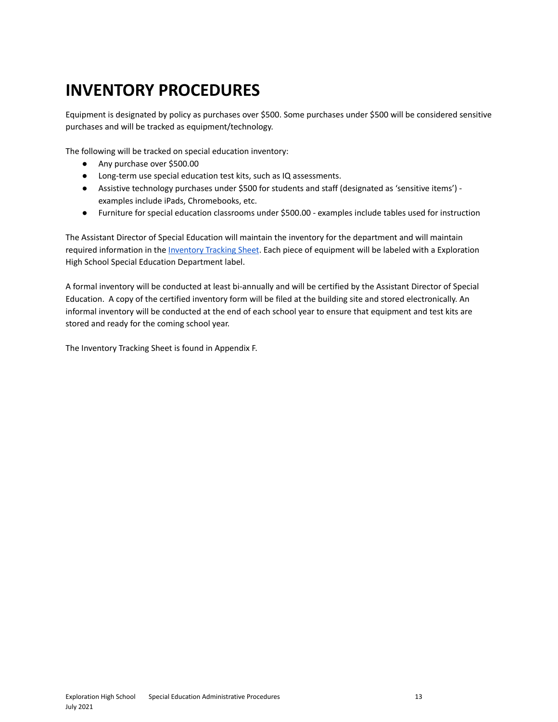## <span id="page-12-0"></span>**INVENTORY PROCEDURES**

Equipment is designated by policy as purchases over \$500. Some purchases under \$500 will be considered sensitive purchases and will be tracked as equipment/technology.

The following will be tracked on special education inventory:

- Any purchase over \$500.00
- Long-term use special education test kits, such as IQ assessments.
- Assistive technology purchases under \$500 for students and staff (designated as 'sensitive items') examples include iPads, Chromebooks, etc.
- Furniture for special education classrooms under \$500.00 examples include tables used for instruction

The Assistant Director of Special Education will maintain the inventory for the department and will maintain required information in the [Inventory](https://docs.google.com/spreadsheets/d/1n658uOiIVLVQl8Pz9cgME3C9lngM0JUZTVAit412kls/edit?usp=sharing) Tracking Sheet. Each piece of equipment will be labeled with a Exploration High School Special Education Department label.

A formal inventory will be conducted at least bi-annually and will be certified by the Assistant Director of Special Education. A copy of the certified inventory form will be filed at the building site and stored electronically. An informal inventory will be conducted at the end of each school year to ensure that equipment and test kits are stored and ready for the coming school year.

The Inventory Tracking Sheet is found in Appendix F.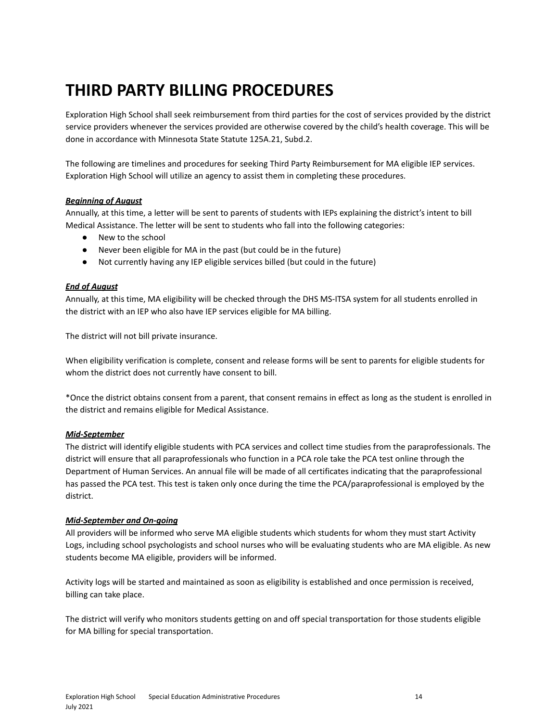## <span id="page-13-0"></span>**THIRD PARTY BILLING PROCEDURES**

Exploration High School shall seek reimbursement from third parties for the cost of services provided by the district service providers whenever the services provided are otherwise covered by the child's health coverage. This will be done in accordance with Minnesota State Statute 125A.21, Subd.2.

The following are timelines and procedures for seeking Third Party Reimbursement for MA eligible IEP services. Exploration High School will utilize an agency to assist them in completing these procedures.

#### *Beginning of August*

Annually, at this time, a letter will be sent to parents of students with IEPs explaining the district's intent to bill Medical Assistance. The letter will be sent to students who fall into the following categories:

- New to the school
- Never been eligible for MA in the past (but could be in the future)
- Not currently having any IEP eligible services billed (but could in the future)

#### *End of August*

Annually, at this time, MA eligibility will be checked through the DHS MS-ITSA system for all students enrolled in the district with an IEP who also have IEP services eligible for MA billing.

The district will not bill private insurance.

When eligibility verification is complete, consent and release forms will be sent to parents for eligible students for whom the district does not currently have consent to bill.

\*Once the district obtains consent from a parent, that consent remains in effect as long as the student is enrolled in the district and remains eligible for Medical Assistance.

#### *Mid-September*

The district will identify eligible students with PCA services and collect time studies from the paraprofessionals. The district will ensure that all paraprofessionals who function in a PCA role take the PCA test online through the Department of Human Services. An annual file will be made of all certificates indicating that the paraprofessional has passed the PCA test. This test is taken only once during the time the PCA/paraprofessional is employed by the district.

#### *Mid-September and On-going*

All providers will be informed who serve MA eligible students which students for whom they must start Activity Logs, including school psychologists and school nurses who will be evaluating students who are MA eligible. As new students become MA eligible, providers will be informed.

Activity logs will be started and maintained as soon as eligibility is established and once permission is received, billing can take place.

The district will verify who monitors students getting on and off special transportation for those students eligible for MA billing for special transportation.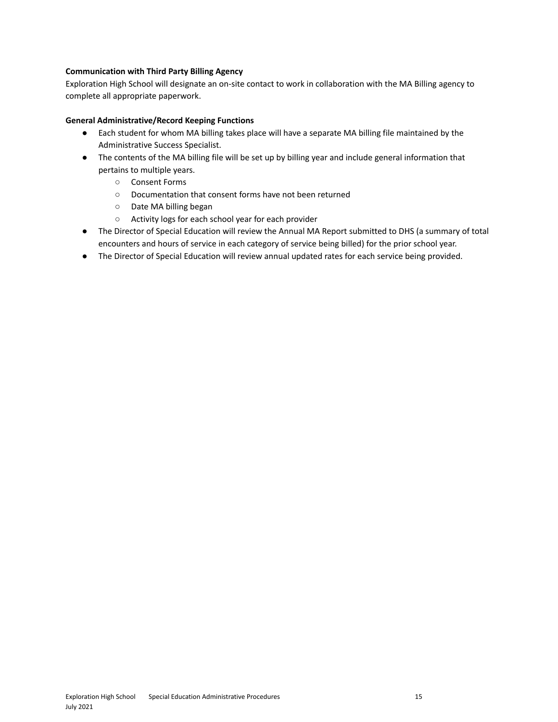#### **Communication with Third Party Billing Agency**

Exploration High School will designate an on-site contact to work in collaboration with the MA Billing agency to complete all appropriate paperwork.

#### **General Administrative/Record Keeping Functions**

- Each student for whom MA billing takes place will have a separate MA billing file maintained by the Administrative Success Specialist.
- The contents of the MA billing file will be set up by billing year and include general information that pertains to multiple years.
	- Consent Forms
	- Documentation that consent forms have not been returned
	- Date MA billing began
	- Activity logs for each school year for each provider
- The Director of Special Education will review the Annual MA Report submitted to DHS (a summary of total encounters and hours of service in each category of service being billed) for the prior school year.
- The Director of Special Education will review annual updated rates for each service being provided.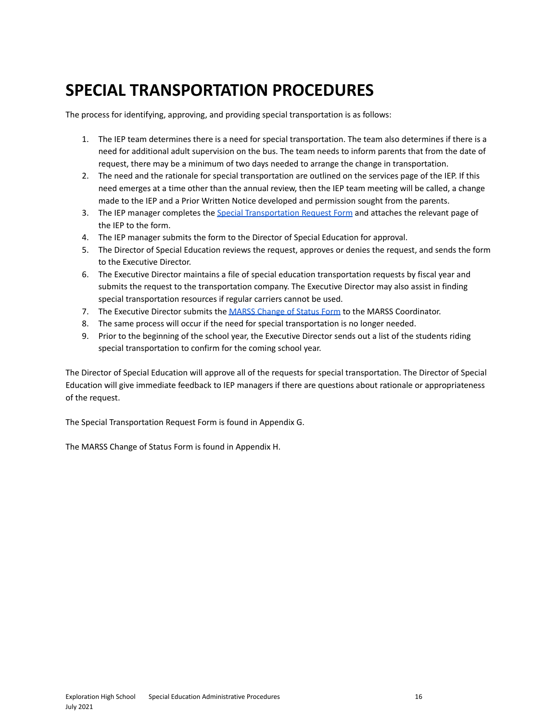## <span id="page-15-0"></span>**SPECIAL TRANSPORTATION PROCEDURES**

The process for identifying, approving, and providing special transportation is as follows:

- 1. The IEP team determines there is a need for special transportation. The team also determines if there is a need for additional adult supervision on the bus. The team needs to inform parents that from the date of request, there may be a minimum of two days needed to arrange the change in transportation.
- 2. The need and the rationale for special transportation are outlined on the services page of the IEP. If this need emerges at a time other than the annual review, then the IEP team meeting will be called, a change made to the IEP and a Prior Written Notice developed and permission sought from the parents.
- 3. The IEP manager completes the Special [Transportation](https://docs.google.com/document/d/1JwL1ryNagwNsElp9REYtjqHWSAqsOL_l9MFOf6lwYm0/edit?usp=sharing) Request Form and attaches the relevant page of the IEP to the form.
- 4. The IEP manager submits the form to the Director of Special Education for approval.
- 5. The Director of Special Education reviews the request, approves or denies the request, and sends the form to the Executive Director.
- 6. The Executive Director maintains a file of special education transportation requests by fiscal year and submits the request to the transportation company. The Executive Director may also assist in finding special transportation resources if regular carriers cannot be used.
- 7. The Executive Director submits the MARSS [Change](https://docs.google.com/forms/d/1nY7fWc7U1bb8p6OjzHYhh699F3qxEnh9_pUWCh1bVag/edit?usp=sharing) of Status Form to the MARSS Coordinator.
- 8. The same process will occur if the need for special transportation is no longer needed.
- 9. Prior to the beginning of the school year, the Executive Director sends out a list of the students riding special transportation to confirm for the coming school year.

The Director of Special Education will approve all of the requests for special transportation. The Director of Special Education will give immediate feedback to IEP managers if there are questions about rationale or appropriateness of the request.

The Special Transportation Request Form is found in Appendix G.

The MARSS Change of Status Form is found in Appendix H.